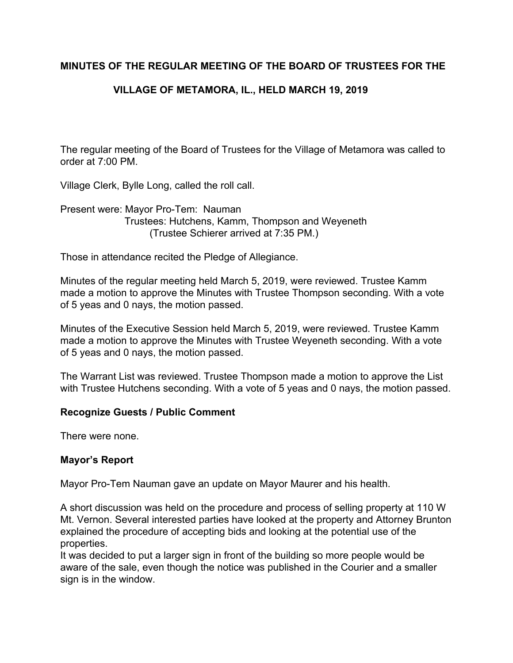# **MINUTES OF THE REGULAR MEETING OF THE BOARD OF TRUSTEES FOR THE**

# **VILLAGE OF METAMORA, IL., HELD MARCH 19, 2019**

The regular meeting of the Board of Trustees for the Village of Metamora was called to order at 7:00 PM.

Village Clerk, Bylle Long, called the roll call.

Present were: Mayor Pro-Tem: Nauman Trustees: Hutchens, Kamm, Thompson and Weyeneth (Trustee Schierer arrived at 7:35 PM.)

Those in attendance recited the Pledge of Allegiance.

Minutes of the regular meeting held March 5, 2019, were reviewed. Trustee Kamm made a motion to approve the Minutes with Trustee Thompson seconding. With a vote of 5 yeas and 0 nays, the motion passed.

Minutes of the Executive Session held March 5, 2019, were reviewed. Trustee Kamm made a motion to approve the Minutes with Trustee Weyeneth seconding. With a vote of 5 yeas and 0 nays, the motion passed.

The Warrant List was reviewed. Trustee Thompson made a motion to approve the List with Trustee Hutchens seconding. With a vote of 5 yeas and 0 nays, the motion passed.

# **Recognize Guests / Public Comment**

There were none.

## **Mayor's Report**

Mayor Pro-Tem Nauman gave an update on Mayor Maurer and his health.

A short discussion was held on the procedure and process of selling property at 110 W Mt. Vernon. Several interested parties have looked at the property and Attorney Brunton explained the procedure of accepting bids and looking at the potential use of the properties.

It was decided to put a larger sign in front of the building so more people would be aware of the sale, even though the notice was published in the Courier and a smaller sign is in the window.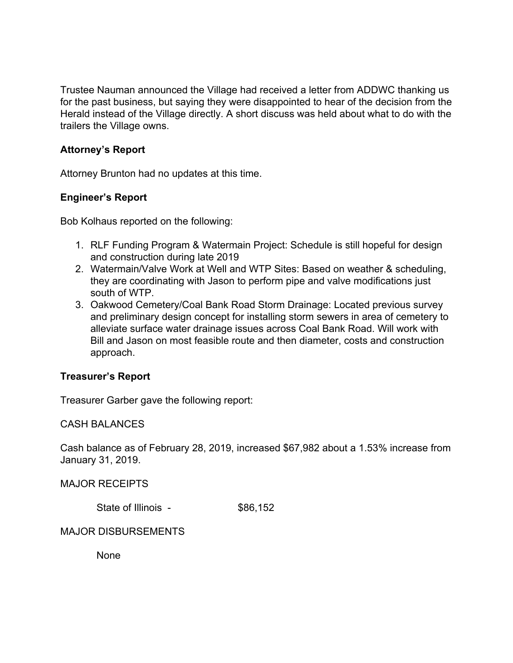Trustee Nauman announced the Village had received a letter from ADDWC thanking us for the past business, but saying they were disappointed to hear of the decision from the Herald instead of the Village directly. A short discuss was held about what to do with the trailers the Village owns.

## **Attorney's Report**

Attorney Brunton had no updates at this time.

## **Engineer's Report**

Bob Kolhaus reported on the following:

- 1. RLF Funding Program & Watermain Project: Schedule is still hopeful for design and construction during late 2019
- 2. Watermain/Valve Work at Well and WTP Sites: Based on weather & scheduling, they are coordinating with Jason to perform pipe and valve modifications just south of WTP.
- 3. Oakwood Cemetery/Coal Bank Road Storm Drainage: Located previous survey and preliminary design concept for installing storm sewers in area of cemetery to alleviate surface water drainage issues across Coal Bank Road. Will work with Bill and Jason on most feasible route and then diameter, costs and construction approach.

## **Treasurer's Report**

Treasurer Garber gave the following report:

## CASH BALANCES

Cash balance as of February 28, 2019, increased \$67,982 about a 1.53% increase from January 31, 2019.

MAJOR RECEIPTS

State of Illinois - \$86,152

# MAJOR DISBURSEMENTS

None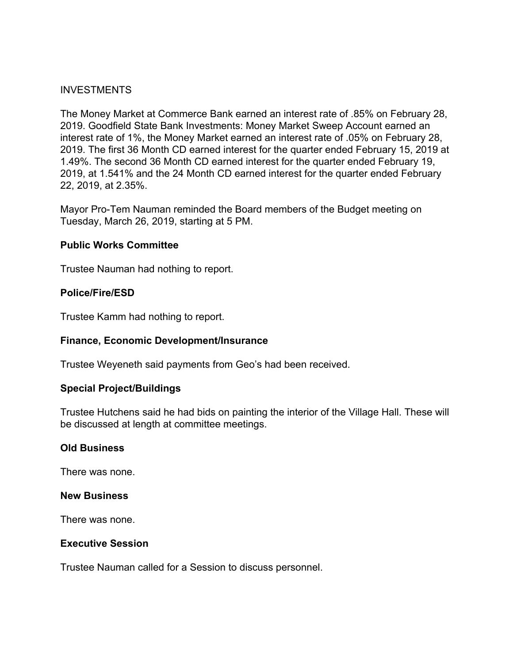### **INVESTMENTS**

The Money Market at Commerce Bank earned an interest rate of .85% on February 28, 2019. Goodfield State Bank Investments: Money Market Sweep Account earned an interest rate of 1%, the Money Market earned an interest rate of .05% on February 28, 2019. The first 36 Month CD earned interest for the quarter ended February 15, 2019 at 1.49%. The second 36 Month CD earned interest for the quarter ended February 19, 2019, at 1.541% and the 24 Month CD earned interest for the quarter ended February 22, 2019, at 2.35%.

Mayor Pro-Tem Nauman reminded the Board members of the Budget meeting on Tuesday, March 26, 2019, starting at 5 PM.

#### **Public Works Committee**

Trustee Nauman had nothing to report.

#### **Police/Fire/ESD**

Trustee Kamm had nothing to report.

## **Finance, Economic Development/Insurance**

Trustee Weyeneth said payments from Geo's had been received.

#### **Special Project/Buildings**

Trustee Hutchens said he had bids on painting the interior of the Village Hall. These will be discussed at length at committee meetings.

#### **Old Business**

There was none.

#### **New Business**

There was none.

#### **Executive Session**

Trustee Nauman called for a Session to discuss personnel.